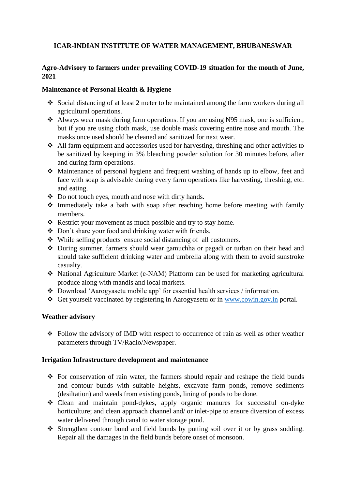# **ICAR-INDIAN INSTITUTE OF WATER MANAGEMENT, BHUBANESWAR**

## **Agro-Advisory to farmers under prevailing COVID-19 situation for the month of June, 2021**

#### **Maintenance of Personal Health & Hygiene**

- Social distancing of at least 2 meter to be maintained among the farm workers during all agricultural operations.
- Always wear mask during farm operations. If you are using N95 mask, one is sufficient, but if you are using cloth mask, use double mask covering entire nose and mouth. The masks once used should be cleaned and sanitized for next wear.
- All farm equipment and accessories used for harvesting, threshing and other activities to be sanitized by keeping in 3% bleaching powder solution for 30 minutes before, after and during farm operations.
- Maintenance of personal hygiene and frequent washing of hands up to elbow, feet and face with soap is advisable during every farm operations like harvesting, threshing, etc. and eating.
- Do not touch eyes, mouth and nose with dirty hands.
- $\triangle$  Immediately take a bath with soap after reaching home before meeting with family members.
- \* Restrict your movement as much possible and try to stay home.
- Don't share your food and drinking water with friends.
- While selling products ensure social distancing of all customers.
- During summer, farmers should wear gamuchha or pagadi or turban on their head and should take sufficient drinking water and umbrella along with them to avoid sunstroke casualty.
- National Agriculture Market (e-NAM) Platform can be used for marketing agricultural produce along with mandis and local markets.
- Download 'Aarogyasetu mobile app' for essential health services / information.
- Get yourself vaccinated by registering in Aarogyasetu or in [www.cowin.gov.in](http://www.cowin.gov.in/) portal.

## **Weather advisory**

 Follow the advisory of IMD with respect to occurrence of rain as well as other weather parameters through TV/Radio/Newspaper.

#### **Irrigation Infrastructure development and maintenance**

- For conservation of rain water, the farmers should repair and reshape the field bunds and contour bunds with suitable heights, excavate farm ponds, remove sediments (desiltation) and weeds from existing ponds, lining of ponds to be done.
- Clean and maintain pond-dykes, apply organic manures for successful on-dyke horticulture; and clean approach channel and/ or inlet-pipe to ensure diversion of excess water delivered through canal to water storage pond.
- Strengthen contour bund and field bunds by putting soil over it or by grass sodding. Repair all the damages in the field bunds before onset of monsoon.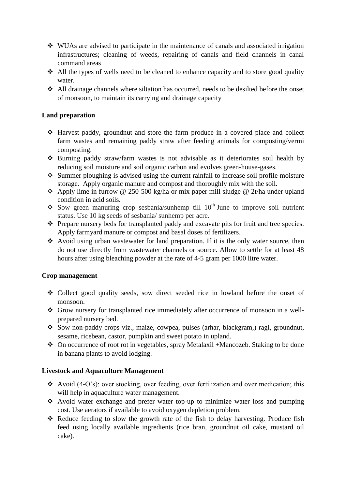- WUAs are advised to participate in the maintenance of canals and associated irrigation infrastructures; cleaning of weeds, repairing of canals and field channels in canal command areas
- $\triangle$  All the types of wells need to be cleaned to enhance capacity and to store good quality water.
- $\triangle$  All drainage channels where siltation has occurred, needs to be desilted before the onset of monsoon, to maintain its carrying and drainage capacity

## **Land preparation**

- Harvest paddy, groundnut and store the farm produce in a covered place and collect farm wastes and remaining paddy straw after feeding animals for composting/vermi composting.
- Burning paddy straw/farm wastes is not advisable as it deteriorates soil health by reducing soil moisture and soil organic carbon and evolves green-house-gases.
- $\cdot$  Summer ploughing is advised using the current rainfall to increase soil profile moisture storage. Apply organic manure and compost and thoroughly mix with the soil.
- Apply lime in furrow @ 250-500 kg/ha or mix paper mill sludge @ 2t/ha under upland condition in acid soils.
- Sow green manuring crop sesbania/sunhemp till  $10^{th}$  June to improve soil nutrient status. Use 10 kg seeds of sesbania/ sunhemp per acre.
- Prepare nursery beds for transplanted paddy and excavate pits for fruit and tree species. Apply farmyard manure or compost and basal doses of fertilizers.
- Avoid using urban wastewater for land preparation. If it is the only water source, then do not use directly from wastewater channels or source. Allow to settle for at least 48 hours after using bleaching powder at the rate of 4-5 gram per 1000 litre water.

## **Crop management**

- Collect good quality seeds, sow direct seeded rice in lowland before the onset of monsoon.
- Grow nursery for transplanted rice immediately after occurrence of monsoon in a wellprepared nursery bed.
- Sow non-paddy crops viz., maize, cowpea, pulses (arhar, blackgram,) ragi, groundnut, sesame, ricebean, castor, pumpkin and sweet potato in upland.
- On occurrence of root rot in vegetables, spray Metalaxil +Mancozeb. Staking to be done in banana plants to avoid lodging.

## **Livestock and Aquaculture Management**

- Avoid (4-O's): over stocking, over feeding, over fertilization and over medication; this will help in aquaculture water management.
- Avoid water exchange and prefer water top-up to minimize water loss and pumping cost. Use aerators if available to avoid oxygen depletion problem.
- \* Reduce feeding to slow the growth rate of the fish to delay harvesting. Produce fish feed using locally available ingredients (rice bran, groundnut oil cake, mustard oil cake).